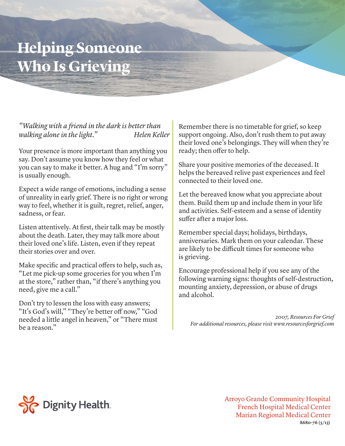## **Helping Someone Who Is Grieving**

*"Walking with a friend in the dark is better than walking alone in the light.*" Helen Keller

Your presence is more important than anything you say. Don't assume you know how they feel or what you can say to make it better. A hug and "I'm sorry" is usually enough.

Expect a wide range of emotions, including a sense of unreality in early grief. There is no right or wrong way to feel, whether it is guilt, regret, relief, anger, sadness, or fear.

Listen attentively. At first, their talk may be mostly about the death. Later, they may talk more about their loved one's life. Listen, even if they repeat their stories over and over.

Make specific and practical offers to help, such as, "Let me pick-up some groceries for you when I'm at the store," rather than, "if there's anything you need, give me a call."

Don't try to lessen the loss with easy answers; "It's God's will," "They're better off now," "God needed a little angel in heaven," or "There must be a reason."

Remember there is no timetable for grief, so keep support ongoing. Also, don't rush them to put away their loved one's belongings. They will when they're ready; then offer to help.

Share your positive memories of the deceased. It helps the bereaved relive past experiences and feel connected to their loved one.

Let the bereaved know what you appreciate about them. Build them up and include them in your life and activities. Self-esteem and a sense of identity suffer after a major loss.

Remember special days; holidays, birthdays, anniversaries. Mark them on your calendar. These are likely to be difficult times for someone who is grieving.

Encourage professional help if you see any of the following warning signs: thoughts of self-destruction, mounting anxiety, depression, or abuse of drugs and alcohol.

*2007, Resources For Grief For additional resources, please visit www.resourcesforgrief.com*



Arroyo Grande Community Hospital French Hospital Medical Center Marian Regional Medical Center **8680-76 (5/13)**